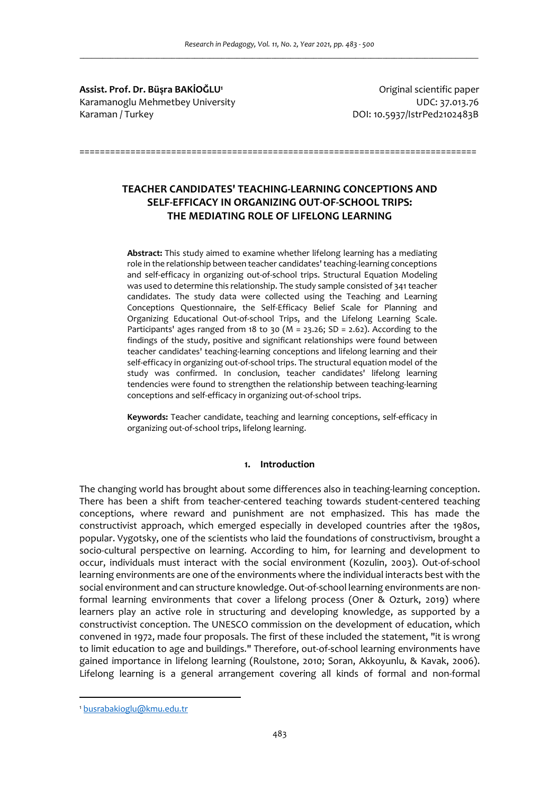**Assist. Prof. Dr. Büşra BAKİOĞLU<sup>1</sup>** Karamanoglu Mehmetbey University UDC: 37.013.76 Karaman / Turkey do and the control of the control of the DOI: 10.5937/IstrPed2102483B

Original scientific paper

**TEACHER CANDIDATES' TEACHING-LEARNING CONCEPTIONS AND SELF-EFFICACY IN ORGANIZING OUT-OF-SCHOOL TRIPS: THE MEDIATING ROLE OF LIFELONG LEARNING** 

==============================================================================

**Abstract:** This study aimed to examine whether lifelong learning has a mediating role in the relationship between teacher candidates' teaching-learning conceptions and self-efficacy in organizing out-of-school trips. Structural Equation Modeling was used to determine this relationship. The study sample consisted of 341 teacher candidates. The study data were collected using the Teaching and Learning Conceptions Questionnaire, the Self-Efficacy Belief Scale for Planning and Organizing Educational Out-of-school Trips, and the Lifelong Learning Scale. Participants' ages ranged from 18 to 30 (M = 23.26; SD = 2.62). According to the findings of the study, positive and significant relationships were found between teacher candidates' teaching-learning conceptions and lifelong learning and their self-efficacy in organizing out-of-school trips. The structural equation model of the study was confirmed. In conclusion, teacher candidates' lifelong learning tendencies were found to strengthen the relationship between teaching-learning conceptions and self-efficacy in organizing out-of-school trips.

**Keywords:** Teacher candidate, teaching and learning conceptions, self-efficacy in organizing out-of-school trips, lifelong learning.

### **1. Introduction**

The changing world has brought about some differences also in teaching-learning conception. There has been a shift from teacher-centered teaching towards student-centered teaching conceptions, where reward and punishment are not emphasized. This has made the constructivist approach, which emerged especially in developed countries after the 1980s, popular. Vygotsky, one of the scientists who laid the foundations of constructivism, brought a socio-cultural perspective on learning. According to him, for learning and development to occur, individuals must interact with the social environment (Kozulin, 2003). Out-of-school learning environments are one of the environments where the individual interacts best with the social environment and can structure knowledge. Out-of-school learning environments are nonformal learning environments that cover a lifelong process (Oner & Ozturk, 2019) where learners play an active role in structuring and developing knowledge, as supported by a constructivist conception. The UNESCO commission on the development of education, which convened in 1972, made four proposals. The first of these included the statement, "it is wrong to limit education to age and buildings." Therefore, out-of-school learning environments have gained importance in lifelong learning (Roulstone, 2010; Soran, Akkoyunlu, & Kavak, 2006). Lifelong learning is a general arrangement covering all kinds of formal and non-formal

<sup>1</sup> busrabakioglu@kmu.edu.tr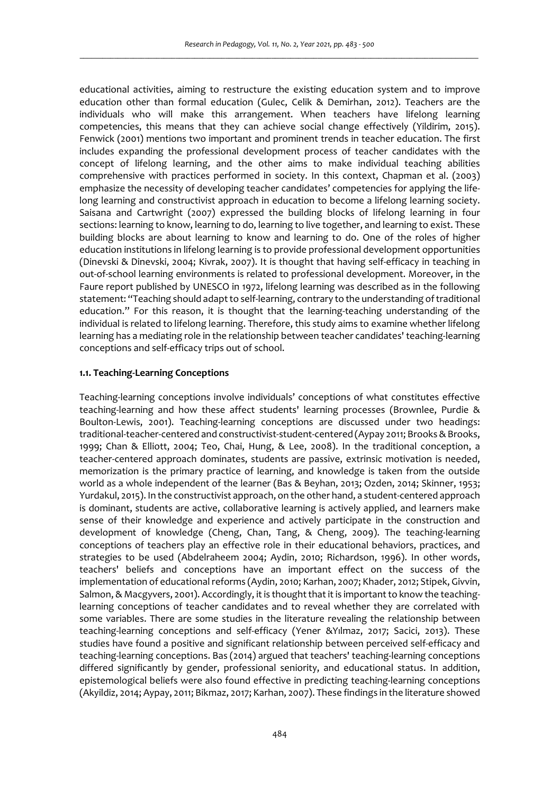educational activities, aiming to restructure the existing education system and to improve education other than formal education (Gulec, Celik & Demirhan, 2012). Teachers are the individuals who will make this arrangement. When teachers have lifelong learning competencies, this means that they can achieve social change effectively (Yildirim, 2015). Fenwick (2001) mentions two important and prominent trends in teacher education. The first includes expanding the professional development process of teacher candidates with the concept of lifelong learning, and the other aims to make individual teaching abilities comprehensive with practices performed in society. In this context, Chapman et al. (2003) emphasize the necessity of developing teacher candidates' competencies for applying the lifelong learning and constructivist approach in education to become a lifelong learning society. Saisana and Cartwright (2007) expressed the building blocks of lifelong learning in four sections: learning to know, learning to do, learning to live together, and learning to exist. These building blocks are about learning to know and learning to do. One of the roles of higher education institutions in lifelong learning is to provide professional development opportunities (Dinevski & Dinevski, 2004; Kivrak, 2007). It is thought that having self-efficacy in teaching in out-of-school learning environments is related to professional development. Moreover, in the Faure report published by UNESCO in 1972, lifelong learning was described as in the following statement: "Teaching should adapt to self-learning, contrary to the understanding of traditional education." For this reason, it is thought that the learning-teaching understanding of the individual is related to lifelong learning. Therefore, this study aims to examine whether lifelong learning has a mediating role in the relationship between teacher candidates' teaching-learning conceptions and self-efficacy trips out of school.

## **1.1. Teaching-Learning Conceptions**

Teaching-learning conceptions involve individuals' conceptions of what constitutes effective teaching-learning and how these affect students' learning processes (Brownlee, Purdie & Boulton-Lewis, 2001). Teaching-learning conceptions are discussed under two headings: traditional-teacher-centered and constructivist-student-centered (Aypay 2011; Brooks & Brooks, 1999; Chan & Elliott, 2004; Teo, Chai, Hung, & Lee, 2008). In the traditional conception, a teacher-centered approach dominates, students are passive, extrinsic motivation is needed, memorization is the primary practice of learning, and knowledge is taken from the outside world as a whole independent of the learner (Bas & Beyhan, 2013; Ozden, 2014; Skinner, 1953; Yurdakul, 2015). In the constructivist approach, on the other hand, a student-centered approach is dominant, students are active, collaborative learning is actively applied, and learners make sense of their knowledge and experience and actively participate in the construction and development of knowledge (Cheng, Chan, Tang, & Cheng, 2009). The teaching-learning conceptions of teachers play an effective role in their educational behaviors, practices, and strategies to be used (Abdelraheem 2004; Aydin, 2010; Richardson, 1996). In other words, teachers' beliefs and conceptions have an important effect on the success of the implementation of educational reforms (Aydin, 2010; Karhan, 2007; Khader, 2012; Stipek, Givvin, Salmon, & Macgyvers, 2001). Accordingly, it is thought that it is important to know the teachinglearning conceptions of teacher candidates and to reveal whether they are correlated with some variables. There are some studies in the literature revealing the relationship between teaching-learning conceptions and self-efficacy (Yener &Yılmaz, 2017; Sacici, 2013). These studies have found a positive and significant relationship between perceived self-efficacy and teaching-learning conceptions. Bas (2014) argued that teachers' teaching-learning conceptions differed significantly by gender, professional seniority, and educational status. In addition, epistemological beliefs were also found effective in predicting teaching-learning conceptions (Akyildiz, 2014; Aypay, 2011; Bikmaz, 2017; Karhan, 2007). These findings in the literature showed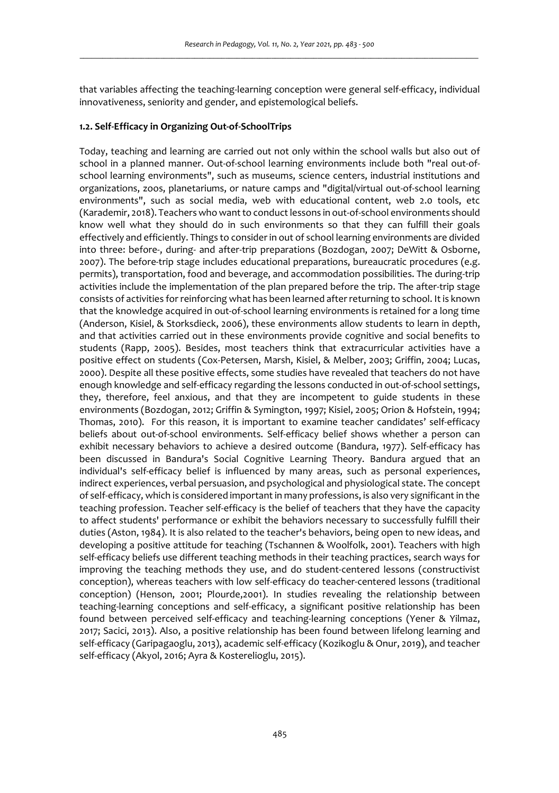that variables affecting the teaching-learning conception were general self-efficacy, individual innovativeness, seniority and gender, and epistemological beliefs.

## **1.2. Self-Efficacy in Organizing Out-of-SchoolTrips**

Today, teaching and learning are carried out not only within the school walls but also out of school in a planned manner. Out-of-school learning environments include both "real out-ofschool learning environments", such as museums, science centers, industrial institutions and organizations, zoos, planetariums, or nature camps and "digital/virtual out-of-school learning environments", such as social media, web with educational content, web 2.0 tools, etc (Karademir, 2018). Teachers who want to conduct lessons in out-of-school environments should know well what they should do in such environments so that they can fulfill their goals effectively and efficiently. Things to consider in out of school learning environments are divided into three: before-, during- and after-trip preparations (Bozdogan, 2007; DeWitt & Osborne, 2007). The before-trip stage includes educational preparations, bureaucratic procedures (e.g. permits), transportation, food and beverage, and accommodation possibilities. The during-trip activities include the implementation of the plan prepared before the trip. The after-trip stage consists of activities for reinforcing what has been learned after returning to school. It is known that the knowledge acquired in out-of-school learning environments is retained for a long time (Anderson, Kisiel, & Storksdieck, 2006), these environments allow students to learn in depth, and that activities carried out in these environments provide cognitive and social benefits to students (Rapp, 2005). Besides, most teachers think that extracurricular activities have a positive effect on students (Cox-Petersen, Marsh, Kisiel, & Melber, 2003; Griffin, 2004; Lucas, 2000). Despite all these positive effects, some studies have revealed that teachers do not have enough knowledge and self-efficacy regarding the lessons conducted in out-of-school settings, they, therefore, feel anxious, and that they are incompetent to guide students in these environments (Bozdogan, 2012; Griffin & Symington, 1997; Kisiel, 2005; Orion & Hofstein, 1994; Thomas, 2010). For this reason, it is important to examine teacher candidates' self-efficacy beliefs about out-of-school environments. Self-efficacy belief shows whether a person can exhibit necessary behaviors to achieve a desired outcome (Bandura, 1977). Self-efficacy has been discussed in Bandura's Social Cognitive Learning Theory. Bandura argued that an individual's self-efficacy belief is influenced by many areas, such as personal experiences, indirect experiences, verbal persuasion, and psychological and physiological state. The concept of self-efficacy, which is considered important in many professions, is also very significant in the teaching profession. Teacher self-efficacy is the belief of teachers that they have the capacity to affect students' performance or exhibit the behaviors necessary to successfully fulfill their duties (Aston, 1984). It is also related to the teacher's behaviors, being open to new ideas, and developing a positive attitude for teaching (Tschannen & Woolfolk, 2001). Teachers with high self-efficacy beliefs use different teaching methods in their teaching practices, search ways for improving the teaching methods they use, and do student-centered lessons (constructivist conception), whereas teachers with low self-efficacy do teacher-centered lessons (traditional conception) (Henson, 2001; Plourde,2001). In studies revealing the relationship between teaching-learning conceptions and self-efficacy, a significant positive relationship has been found between perceived self-efficacy and teaching-learning conceptions (Yener & Yilmaz, 2017; Sacici, 2013). Also, a positive relationship has been found between lifelong learning and self-efficacy (Garipagaoglu, 2013), academic self-efficacy (Kozikoglu & Onur, 2019), and teacher self-efficacy (Akyol, 2016; Ayra & Kosterelioglu, 2015).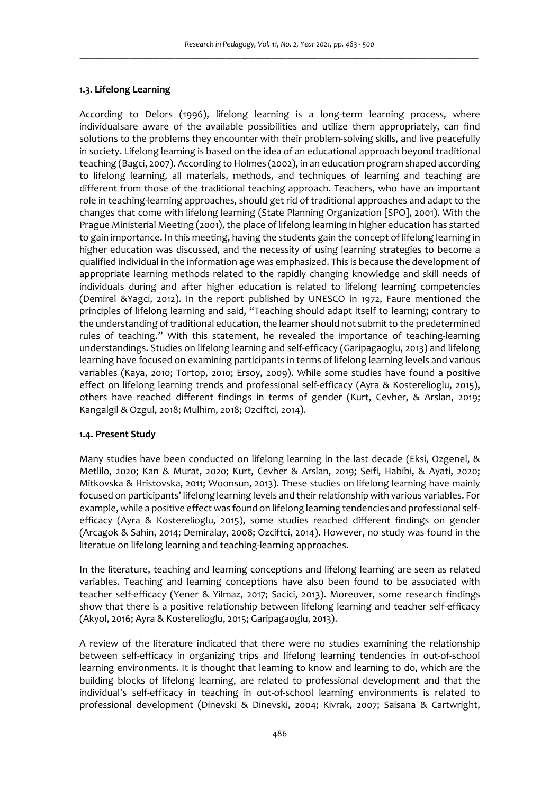### **1.3. Lifelong Learning**

According to Delors (1996), lifelong learning is a long-term learning process, where individualsare aware of the available possibilities and utilize them appropriately, can find solutions to the problems they encounter with their problem-solving skills, and live peacefully in society. Lifelong learning is based on the idea of an educational approach beyond traditional teaching (Bagci, 2007). According to Holmes (2002), in an education program shaped according to lifelong learning, all materials, methods, and techniques of learning and teaching are different from those of the traditional teaching approach. Teachers, who have an important role in teaching-learning approaches, should get rid of traditional approaches and adapt to the changes that come with lifelong learning (State Planning Organization [SPO], 2001). With the Prague Ministerial Meeting (2001), the place of lifelong learning in higher education has started to gain importance. In this meeting, having the students gain the concept of lifelong learning in higher education was discussed, and the necessity of using learning strategies to become a qualified individual in the information age was emphasized. This is because the development of appropriate learning methods related to the rapidly changing knowledge and skill needs of individuals during and after higher education is related to lifelong learning competencies (Demirel &Yagci, 2012). In the report published by UNESCO in 1972, Faure mentioned the principles of lifelong learning and said, "Teaching should adapt itself to learning; contrary to the understanding of traditional education, the learner should not submit to the predetermined rules of teaching." With this statement, he revealed the importance of teaching-learning understandings. Studies on lifelong learning and self-efficacy (Garipagaoglu, 2013) and lifelong learning have focused on examining participants in terms of lifelong learning levels and various variables (Kaya, 2010; Tortop, 2010; Ersoy, 2009). While some studies have found a positive effect on lifelong learning trends and professional self-efficacy (Ayra & Kosterelioglu, 2015), others have reached different findings in terms of gender (Kurt, Cevher, & Arslan, 2019; Kangalgil & Ozgul, 2018; Mulhim, 2018; Ozciftci, 2014).

### **1.4. Present Study**

Many studies have been conducted on lifelong learning in the last decade (Eksi, Ozgenel, & Metlilo, 2020; Kan & Murat, 2020; Kurt, Cevher & Arslan, 2019; Seifi, Habibi, & Ayati, 2020; Mitkovska & Hristovska, 2011; Woonsun, 2013). These studies on lifelong learning have mainly focused on participants' lifelong learning levels and their relationship with various variables. For example, while a positive effect was found on lifelong learning tendencies and professional selfefficacy (Ayra & Kosterelioglu, 2015), some studies reached different findings on gender (Arcagok & Sahin, 2014; Demiralay, 2008; Ozciftci, 2014). However, no study was found in the literatue on lifelong learning and teaching-learning approaches.

In the literature, teaching and learning conceptions and lifelong learning are seen as related variables. Teaching and learning conceptions have also been found to be associated with teacher self-efficacy (Yener & Yilmaz, 2017; Sacici, 2013). Moreover, some research findings show that there is a positive relationship between lifelong learning and teacher self-efficacy (Akyol, 2016; Ayra & Kosterelioglu, 2015; Garipagaoglu, 2013).

A review of the literature indicated that there were no studies examining the relationship between self-efficacy in organizing trips and lifelong learning tendencies in out-of-school learning environments. It is thought that learning to know and learning to do, which are the building blocks of lifelong learning, are related to professional development and that the individual's self-efficacy in teaching in out-of-school learning environments is related to professional development (Dinevski & Dinevski, 2004; Kivrak, 2007; Saisana & Cartwright,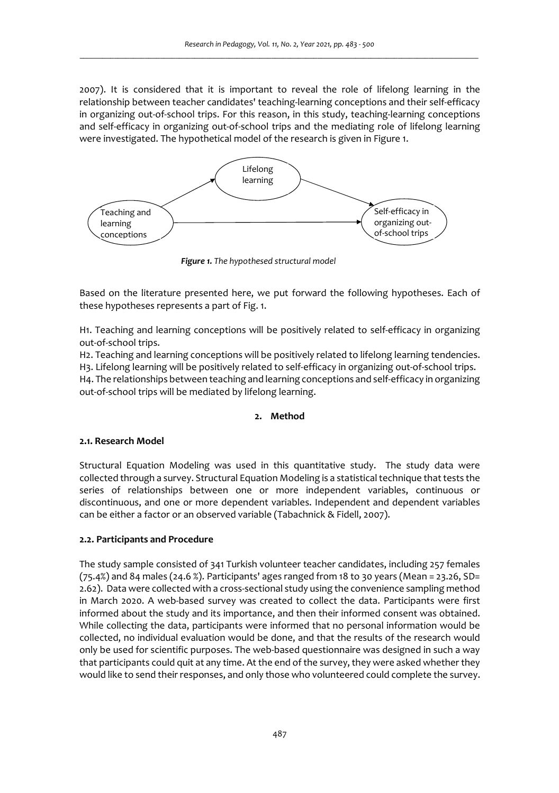2007). It is considered that it is important to reveal the role of lifelong learning in the relationship between teacher candidates' teaching-learning conceptions and their self-efficacy in organizing out-of-school trips. For this reason, in this study, teaching-learning conceptions and self-efficacy in organizing out-of-school trips and the mediating role of lifelong learning were investigated. The hypothetical model of the research is given in Figure 1.



 *Figure 1. The hypothesed structural model* 

Based on the literature presented here, we put forward the following hypotheses. Each of these hypotheses represents a part of Fig. 1.

H1. Teaching and learning conceptions will be positively related to self-efficacy in organizing out-of-school trips.

H2. Teaching and learning conceptions will be positively related to lifelong learning tendencies. H3. Lifelong learning will be positively related to self-efficacy in organizing out-of-school trips. H4. The relationships between teaching and learning conceptions and self-efficacy in organizing out-of-school trips will be mediated by lifelong learning.

# **2. Method**

### **2.1. Research Model**

Structural Equation Modeling was used in this quantitative study. The study data were collected through a survey. Structural Equation Modeling is a statistical technique that tests the series of relationships between one or more independent variables, continuous or discontinuous, and one or more dependent variables. Independent and dependent variables can be either a factor or an observed variable (Tabachnick & Fidell, 2007).

## **2.2. Participants and Procedure**

The study sample consisted of 341 Turkish volunteer teacher candidates, including 257 females (75.4%) and 84 males (24.6 %). Participants' ages ranged from 18 to 30 years (Mean = 23.26, SD= 2.62). Data were collected with a cross-sectional study using the convenience sampling method in March 2020. A web-based survey was created to collect the data. Participants were first informed about the study and its importance, and then their informed consent was obtained. While collecting the data, participants were informed that no personal information would be collected, no individual evaluation would be done, and that the results of the research would only be used for scientific purposes. The web-based questionnaire was designed in such a way that participants could quit at any time. At the end of the survey, they were asked whether they would like to send their responses, and only those who volunteered could complete the survey.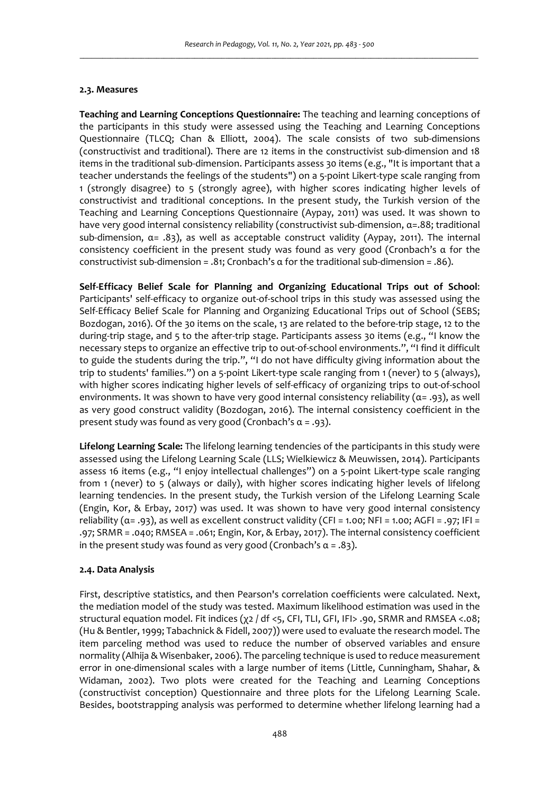## **2.3. Measures**

**Teaching and Learning Conceptions Questionnaire:** The teaching and learning conceptions of the participants in this study were assessed using the Teaching and Learning Conceptions Questionnaire (TLCQ; Chan & Elliott, 2004). The scale consists of two sub-dimensions (constructivist and traditional). There are 12 items in the constructivist sub-dimension and 18 items in the traditional sub-dimension. Participants assess 30 items (e.g., "It is important that a teacher understands the feelings of the students") on a 5-point Likert-type scale ranging from 1 (strongly disagree) to 5 (strongly agree), with higher scores indicating higher levels of constructivist and traditional conceptions. In the present study, the Turkish version of the Teaching and Learning Conceptions Questionnaire (Aypay, 2011) was used. It was shown to have very good internal consistency reliability (constructivist sub-dimension, α=.88; traditional sub-dimension,  $\alpha = .83$ ), as well as acceptable construct validity (Aypay, 2011). The internal consistency coefficient in the present study was found as very good (Cronbach's α for the constructivist sub-dimension = .81; Cronbach's  $\alpha$  for the traditional sub-dimension = .86).

**Self-Efficacy Belief Scale for Planning and Organizing Educational Trips out of School**: Participants' self-efficacy to organize out-of-school trips in this study was assessed using the Self-Efficacy Belief Scale for Planning and Organizing Educational Trips out of School (SEBS; Bozdogan, 2016). Of the 30 items on the scale, 13 are related to the before-trip stage, 12 to the during-trip stage, and 5 to the after-trip stage. Participants assess 30 items (e.g., "I know the necessary steps to organize an effective trip to out-of-school environments.", "I find it difficult to guide the students during the trip.", "I do not have difficulty giving information about the trip to students' families.") on a 5-point Likert-type scale ranging from 1 (never) to 5 (always), with higher scores indicating higher levels of self-efficacy of organizing trips to out-of-school environments. It was shown to have very good internal consistency reliability (α= .93), as well as very good construct validity (Bozdogan, 2016). The internal consistency coefficient in the present study was found as very good (Cronbach's α = .93).

**Lifelong Learning Scale:** The lifelong learning tendencies of the participants in this study were assessed using the Lifelong Learning Scale (LLS; Wielkiewicz & Meuwissen, 2014). Participants assess 16 items (e.g., "I enjoy intellectual challenges") on a 5-point Likert-type scale ranging from 1 (never) to 5 (always or daily), with higher scores indicating higher levels of lifelong learning tendencies. In the present study, the Turkish version of the Lifelong Learning Scale (Engin, Kor, & Erbay, 2017) was used. It was shown to have very good internal consistency reliability ( $\alpha$ = .93), as well as excellent construct validity (CFI = 1.00; NFI = 1.00; AGFI = .97; IFI = .97; SRMR = .040; RMSEA = .061; Engin, Kor, & Erbay, 2017). The internal consistency coefficient in the present study was found as very good (Cronbach's  $\alpha = .83$ ).

## **2.4. Data Analysis**

First, descriptive statistics, and then Pearson's correlation coefficients were calculated. Next, the mediation model of the study was tested. Maximum likelihood estimation was used in the structural equation model. Fit indices (χ2 / df <5, CFI, TLI, GFI, IFI> .90, SRMR and RMSEA <.08; (Hu & Bentler, 1999; Tabachnick & Fidell, 2007)) were used to evaluate the research model. The item parceling method was used to reduce the number of observed variables and ensure normality (Alhija & Wisenbaker, 2006). The parceling technique is used to reduce measurement error in one-dimensional scales with a large number of items (Little, Cunningham, Shahar, & Widaman, 2002). Two plots were created for the Teaching and Learning Conceptions (constructivist conception) Questionnaire and three plots for the Lifelong Learning Scale. Besides, bootstrapping analysis was performed to determine whether lifelong learning had a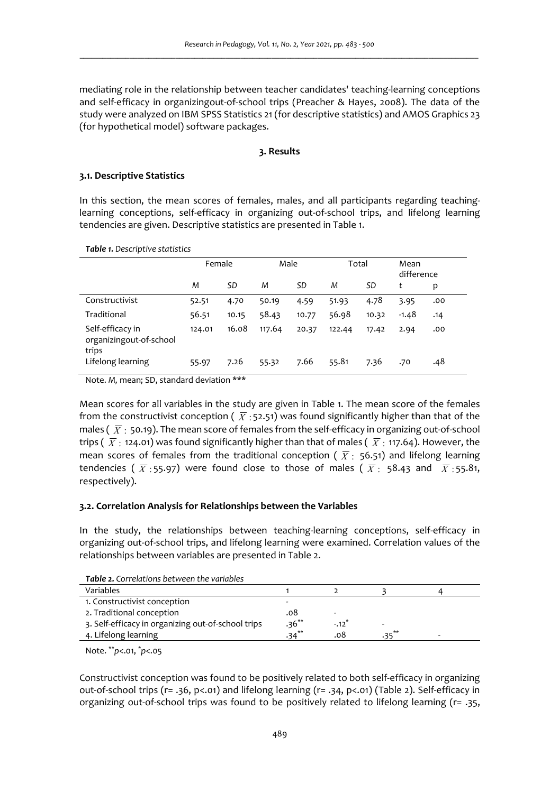mediating role in the relationship between teacher candidates' teaching-learning conceptions and self-efficacy in organizingout-of-school trips (Preacher & Hayes, 2008). The data of the study were analyzed on IBM SPSS Statistics 21 (for descriptive statistics) and AMOS Graphics 23 (for hypothetical model) software packages.

### **3. Results**

### **3.1. Descriptive Statistics**

In this section, the mean scores of females, males, and all participants regarding teachinglearning conceptions, self-efficacy in organizing out-of-school trips, and lifelong learning tendencies are given. Descriptive statistics are presented in Table 1.

*Table 1. Descriptive statistics*

|                                                      | Female |       | Male   |       | Total  |       | Mean<br>difference |     |
|------------------------------------------------------|--------|-------|--------|-------|--------|-------|--------------------|-----|
|                                                      | M      | SD    | M      | SD    | M      | SD    | t                  | p   |
| Constructivist                                       | 52.51  | 4.70  | 50.19  | 4.59  | 51.93  | 4.78  | 3.95               | .00 |
| Traditional                                          | 56.51  | 10.15 | 58.43  | 10.77 | 56.98  | 10.32 | $-1.48$            | .14 |
| Self-efficacy in<br>organizingout-of-school<br>trips | 124.01 | 16.08 | 117.64 | 20.37 | 122.44 | 17.42 | 2.94               | .00 |
| Lifelong learning                                    | 55.97  | 7.26  | 55.32  | 7.66  | 55.81  | 7.36  | .70                | .48 |

Note. *M,* mean; SD, standard deviation \*\*\*

Mean scores for all variables in the study are given in Table 1. The mean score of the females from the constructivist conception (  $\overline{X}$  : 52.51) was found significantly higher than that of the males (  $\overline{X}$  : 50.19). The mean score of females from the self-efficacy in organizing out-of-school trips (  $\overline{X}$  : 124.01) was found significantly higher than that of males (  $\overline{X}$  : 117.64). However, the mean scores of females from the traditional conception (  $\overline{X}$  : 56.51) and lifelong learning tendencies (  $\overline{X}$  : 55.97) were found close to those of males (  $\overline{X}$  : 58.43 and  $\overline{X}$  : 55.81, respectively).

### **3.2. Correlation Analysis for Relationships between the Variables**

In the study, the relationships between teaching-learning conceptions, self-efficacy in organizing out-of-school trips, and lifelong learning were examined. Correlation values of the relationships between variables are presented in Table 2.

*Table 2. Correlations between the variables* 

| Variables                                          |          |         |           |  |
|----------------------------------------------------|----------|---------|-----------|--|
| 1. Constructivist conception                       |          |         |           |  |
| 2. Traditional conception                          | .08      |         |           |  |
| 3. Self-efficacy in organizing out-of-school trips | $.36**$  | $-.12"$ |           |  |
| 4. Lifelong learning                               | $.34***$ | 08.     | $2e^{**}$ |  |

Note. \*\**p*<.01, \**p*<.05

Constructivist conception was found to be positively related to both self-efficacy in organizing out-of-school trips (r= .36, p<.01) and lifelong learning (r= .34, p<.01) (Table 2). Self-efficacy in organizing out-of-school trips was found to be positively related to lifelong learning (r= .35,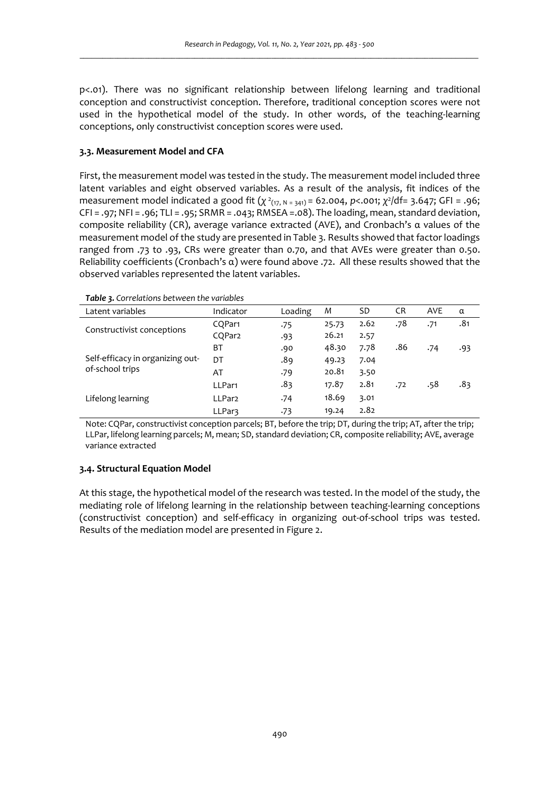p<.01). There was no significant relationship between lifelong learning and traditional conception and constructivist conception. Therefore, traditional conception scores were not used in the hypothetical model of the study. In other words, of the teaching-learning conceptions, only constructivist conception scores were used.

## **3.3. Measurement Model and CFA**

First, the measurement model was tested in the study. The measurement model included three latent variables and eight observed variables. As a result of the analysis, fit indices of the measurement model indicated a good fit (*χ*<sup>2</sup><sub>(17, N = 341)</sub> = 62.004, *p*<.001; *χ*<sup>2</sup>/df= 3.647; GFI = .96; CFI = .97; NFI = .96; TLI = .95; SRMR = .043; RMSEA =.08). The loading, mean, standard deviation, composite reliability (CR), average variance extracted (AVE), and Cronbach's α values of the measurement model of the study are presented in Table 3. Results showed that factor loadings ranged from .73 to .93, CRs were greater than 0.70, and that AVEs were greater than 0.50. Reliability coefficients (Cronbach's α) were found above .72. All these results showed that the observed variables represented the latent variables.

| Latent variables                                    | Indicator          | Loading | M     | SD   | <b>CR</b> | <b>AVE</b> | α   |
|-----------------------------------------------------|--------------------|---------|-------|------|-----------|------------|-----|
| Constructivist conceptions                          | CQPar1             | .75     | 25.73 | 2.62 | .78       | .71        | .81 |
|                                                     | CQPar2             | .93     | 26.21 | 2.57 |           |            |     |
| Self-efficacy in organizing out-<br>of-school trips | BT                 | .90     | 48.30 | 7.78 | .86       | .74        | .93 |
|                                                     | DT                 | .89     | 49.23 | 7.04 |           |            |     |
|                                                     | AT                 | .79     | 20.81 | 3.50 |           |            |     |
|                                                     | LLPar1             | .83     | 17.87 | 2.81 | .72       | .58        | .83 |
| Lifelong learning                                   | LLPar <sub>2</sub> | .74     | 18.69 | 3.01 |           |            |     |
|                                                     | LLPar3             | .73     | 19.24 | 2.82 |           |            |     |

Note: CQPar, constructivist conception parcels; BT, before the trip; DT, during the trip; AT, after the trip; LLPar, lifelong learning parcels; M, mean; SD, standard deviation; CR, composite reliability; AVE, average variance extracted

### **3.4. Structural Equation Model**

At this stage, the hypothetical model of the research was tested. In the model of the study, the mediating role of lifelong learning in the relationship between teaching-learning conceptions (constructivist conception) and self-efficacy in organizing out-of-school trips was tested. Results of the mediation model are presented in Figure 2.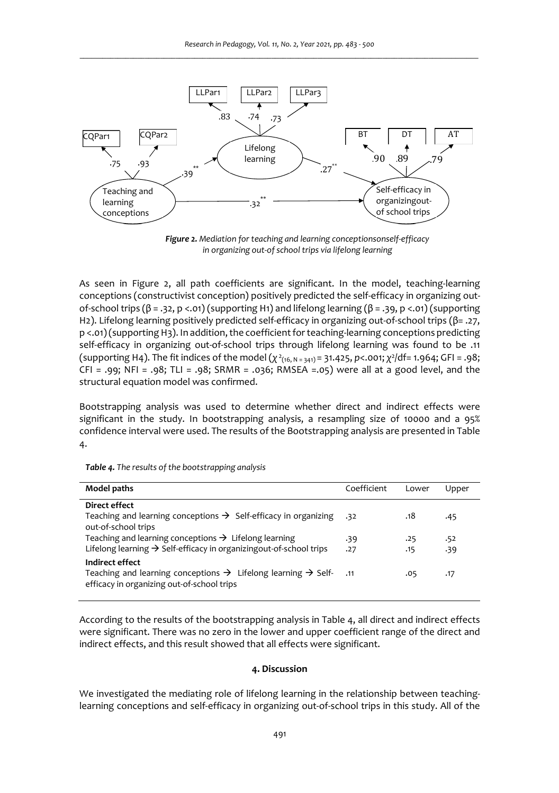

*Figure 2. Mediation for teaching and learning conceptionsonself-efficacy in organizing out-of school trips via lifelong learning* 

As seen in Figure 2, all path coefficients are significant. In the model, teaching-learning conceptions (constructivist conception) positively predicted the self-efficacy in organizing outof-school trips (β = .32, p <.01) (supporting H1) and lifelong learning (β = .39, p <.01) (supporting H2). Lifelong learning positively predicted self-efficacy in organizing out-of-school trips (β= .27, p <.01) (supporting H3). In addition, the coefficient for teaching-learning conceptions predicting self-efficacy in organizing out-of-school trips through lifelong learning was found to be .11 (supporting H4). The fit indices of the model (*χ* 2(16, N = 341) = 31.425, *p*<.001; *χ* 2 /df= 1.964; GFI = .98; CFI = .99; NFI = .98; TLI = .98; SRMR = .036; RMSEA =.05) were all at a good level, and the structural equation model was confirmed.

Bootstrapping analysis was used to determine whether direct and indirect effects were significant in the study. In bootstrapping analysis, a resampling size of 10000 and a 95% confidence interval were used. The results of the Bootstrapping analysis are presented in Table 4.

| Model paths                                                                                                                                                | Coefficient | Lower | Upper |
|------------------------------------------------------------------------------------------------------------------------------------------------------------|-------------|-------|-------|
| Direct effect                                                                                                                                              |             |       |       |
| Teaching and learning conceptions $\rightarrow$ Self-efficacy in organizing<br>out-of-school trips                                                         | .32         | .18   | .45   |
| Teaching and learning conceptions $\rightarrow$ Lifelong learning                                                                                          | .39         | .25   | .52   |
| Lifelong learning $\rightarrow$ Self-efficacy in organizing out-of-school trips                                                                            | .27         | .15   | .39   |
| Indirect effect<br>Teaching and learning conceptions $\rightarrow$ Lifelong learning $\rightarrow$ Self- .11<br>efficacy in organizing out-of-school trips |             | .05   | .17   |

*Table 4. The results of the bootstrapping analysis* 

According to the results of the bootstrapping analysis in Table 4, all direct and indirect effects were significant. There was no zero in the lower and upper coefficient range of the direct and indirect effects, and this result showed that all effects were significant.

### **4. Discussion**

We investigated the mediating role of lifelong learning in the relationship between teachinglearning conceptions and self-efficacy in organizing out-of-school trips in this study. All of the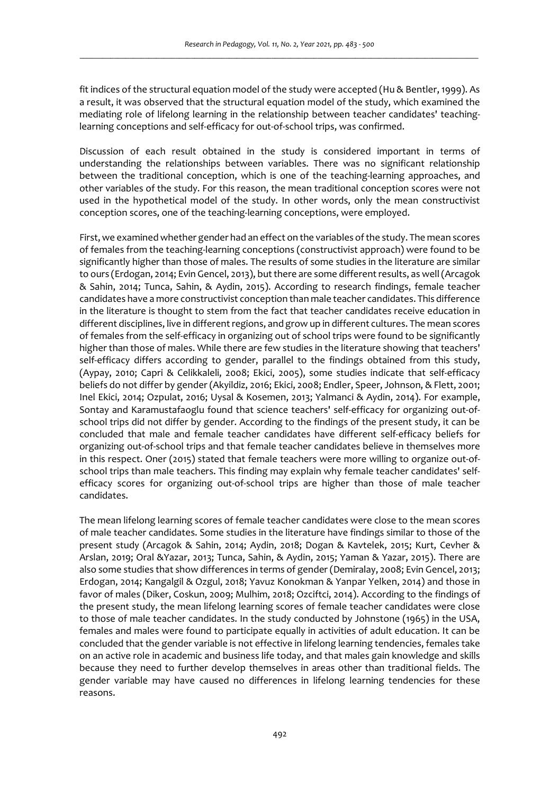fit indices of the structural equation model of the study were accepted (Hu & Bentler, 1999). As a result, it was observed that the structural equation model of the study, which examined the mediating role of lifelong learning in the relationship between teacher candidates' teachinglearning conceptions and self-efficacy for out-of-school trips, was confirmed.

Discussion of each result obtained in the study is considered important in terms of understanding the relationships between variables. There was no significant relationship between the traditional conception, which is one of the teaching-learning approaches, and other variables of the study. For this reason, the mean traditional conception scores were not used in the hypothetical model of the study. In other words, only the mean constructivist conception scores, one of the teaching-learning conceptions, were employed.

First, we examined whether gender had an effect on the variables of the study. The mean scores of females from the teaching-learning conceptions (constructivist approach) were found to be significantly higher than those of males. The results of some studies in the literature are similar to ours (Erdogan, 2014; Evin Gencel, 2013), but there are some different results, as well (Arcagok & Sahin, 2014; Tunca, Sahin, & Aydin, 2015). According to research findings, female teacher candidates have a more constructivist conception than male teacher candidates. This difference in the literature is thought to stem from the fact that teacher candidates receive education in different disciplines, live in different regions, and grow up in different cultures. The mean scores of females from the self-efficacy in organizing out of school trips were found to be significantly higher than those of males. While there are few studies in the literature showing that teachers' self-efficacy differs according to gender, parallel to the findings obtained from this study, (Aypay, 2010; Capri & Celikkaleli, 2008; Ekici, 2005), some studies indicate that self-efficacy beliefs do not differ by gender (Akyildiz, 2016; Ekici, 2008; Endler, Speer, Johnson, & Flett, 2001; Inel Ekici, 2014; Ozpulat, 2016; Uysal & Kosemen, 2013; Yalmanci & Aydin, 2014). For example, Sontay and Karamustafaoglu found that science teachers' self-efficacy for organizing out-ofschool trips did not differ by gender. According to the findings of the present study, it can be concluded that male and female teacher candidates have different self-efficacy beliefs for organizing out-of-school trips and that female teacher candidates believe in themselves more in this respect. Oner (2015) stated that female teachers were more willing to organize out-ofschool trips than male teachers. This finding may explain why female teacher candidates' selfefficacy scores for organizing out-of-school trips are higher than those of male teacher candidates.

The mean lifelong learning scores of female teacher candidates were close to the mean scores of male teacher candidates. Some studies in the literature have findings similar to those of the present study (Arcagok & Sahin, 2014; Aydin, 2018; Dogan & Kavtelek, 2015; Kurt, Cevher & Arslan, 2019; Oral &Yazar, 2013; Tunca, Sahin, & Aydin, 2015; Yaman & Yazar, 2015). There are also some studies that show differences in terms of gender (Demiralay, 2008; Evin Gencel, 2013; Erdogan, 2014; Kangalgil & Ozgul, 2018; Yavuz Konokman & Yanpar Yelken, 2014) and those in favor of males (Diker, Coskun, 2009; Mulhim, 2018; Ozciftci, 2014). According to the findings of the present study, the mean lifelong learning scores of female teacher candidates were close to those of male teacher candidates. In the study conducted by Johnstone (1965) in the USA, females and males were found to participate equally in activities of adult education. It can be concluded that the gender variable is not effective in lifelong learning tendencies, females take on an active role in academic and business life today, and that males gain knowledge and skills because they need to further develop themselves in areas other than traditional fields. The gender variable may have caused no differences in lifelong learning tendencies for these reasons.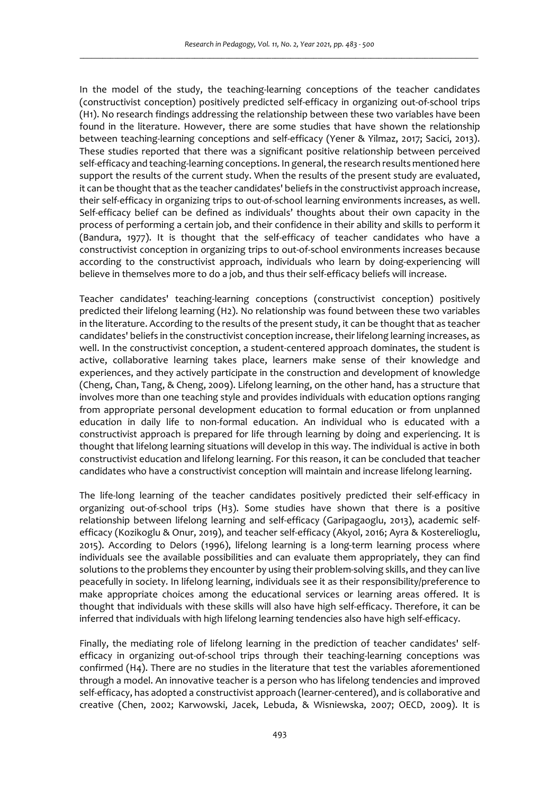In the model of the study, the teaching-learning conceptions of the teacher candidates (constructivist conception) positively predicted self-efficacy in organizing out-of-school trips (H1). No research findings addressing the relationship between these two variables have been found in the literature. However, there are some studies that have shown the relationship between teaching-learning conceptions and self-efficacy (Yener & Yilmaz, 2017; Sacici, 2013). These studies reported that there was a significant positive relationship between perceived self-efficacy and teaching-learning conceptions. In general, the research results mentioned here support the results of the current study. When the results of the present study are evaluated, it can be thought that as the teacher candidates' beliefs in the constructivist approach increase, their self-efficacy in organizing trips to out-of-school learning environments increases, as well. Self-efficacy belief can be defined as individuals' thoughts about their own capacity in the process of performing a certain job, and their confidence in their ability and skills to perform it (Bandura, 1977). It is thought that the self-efficacy of teacher candidates who have a constructivist conception in organizing trips to out-of-school environments increases because according to the constructivist approach, individuals who learn by doing-experiencing will believe in themselves more to do a job, and thus their self-efficacy beliefs will increase.

Teacher candidates' teaching-learning conceptions (constructivist conception) positively predicted their lifelong learning (H2). No relationship was found between these two variables in the literature. According to the results of the present study, it can be thought that as teacher candidates' beliefs in the constructivist conception increase, their lifelong learning increases, as well. In the constructivist conception, a student-centered approach dominates, the student is active, collaborative learning takes place, learners make sense of their knowledge and experiences, and they actively participate in the construction and development of knowledge (Cheng, Chan, Tang, & Cheng, 2009). Lifelong learning, on the other hand, has a structure that involves more than one teaching style and provides individuals with education options ranging from appropriate personal development education to formal education or from unplanned education in daily life to non-formal education. An individual who is educated with a constructivist approach is prepared for life through learning by doing and experiencing. It is thought that lifelong learning situations will develop in this way. The individual is active in both constructivist education and lifelong learning. For this reason, it can be concluded that teacher candidates who have a constructivist conception will maintain and increase lifelong learning.

The life-long learning of the teacher candidates positively predicted their self-efficacy in organizing out-of-school trips (H3). Some studies have shown that there is a positive relationship between lifelong learning and self-efficacy (Garipagaoglu, 2013), academic selfefficacy (Kozikoglu & Onur, 2019), and teacher self-efficacy (Akyol, 2016; Ayra & Kosterelioglu, 2015). According to Delors (1996), lifelong learning is a long-term learning process where individuals see the available possibilities and can evaluate them appropriately, they can find solutions to the problems they encounter by using their problem-solving skills, and they can live peacefully in society. In lifelong learning, individuals see it as their responsibility/preference to make appropriate choices among the educational services or learning areas offered. It is thought that individuals with these skills will also have high self-efficacy. Therefore, it can be inferred that individuals with high lifelong learning tendencies also have high self-efficacy.

Finally, the mediating role of lifelong learning in the prediction of teacher candidates' selfefficacy in organizing out-of-school trips through their teaching-learning conceptions was confirmed (H4). There are no studies in the literature that test the variables aforementioned through a model. An innovative teacher is a person who has lifelong tendencies and improved self-efficacy, has adopted a constructivist approach (learner-centered), and is collaborative and creative (Chen, 2002; Karwowski, Jacek, Lebuda, & Wisniewska, 2007; OECD, 2009). It is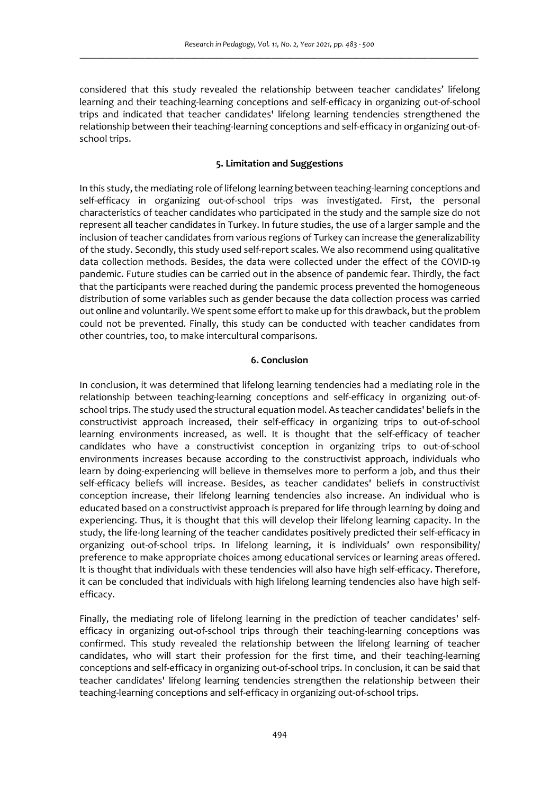considered that this study revealed the relationship between teacher candidates' lifelong learning and their teaching-learning conceptions and self-efficacy in organizing out-of-school trips and indicated that teacher candidates' lifelong learning tendencies strengthened the relationship between their teaching-learning conceptions and self-efficacy in organizing out-ofschool trips.

## **5. Limitation and Suggestions**

In this study, the mediating role of lifelong learning between teaching-learning conceptions and self-efficacy in organizing out-of-school trips was investigated. First, the personal characteristics of teacher candidates who participated in the study and the sample size do not represent all teacher candidates in Turkey. In future studies, the use of a larger sample and the inclusion of teacher candidates from various regions of Turkey can increase the generalizability of the study. Secondly, this study used self-report scales. We also recommend using qualitative data collection methods. Besides, the data were collected under the effect of the COVID-19 pandemic. Future studies can be carried out in the absence of pandemic fear. Thirdly, the fact that the participants were reached during the pandemic process prevented the homogeneous distribution of some variables such as gender because the data collection process was carried out online and voluntarily. We spent some effort to make up for this drawback, but the problem could not be prevented. Finally, this study can be conducted with teacher candidates from other countries, too, to make intercultural comparisons.

### **6. Conclusion**

In conclusion, it was determined that lifelong learning tendencies had a mediating role in the relationship between teaching-learning conceptions and self-efficacy in organizing out-ofschool trips. The study used the structural equation model. As teacher candidates' beliefs in the constructivist approach increased, their self-efficacy in organizing trips to out-of-school learning environments increased, as well. It is thought that the self-efficacy of teacher candidates who have a constructivist conception in organizing trips to out-of-school environments increases because according to the constructivist approach, individuals who learn by doing-experiencing will believe in themselves more to perform a job, and thus their self-efficacy beliefs will increase. Besides, as teacher candidates' beliefs in constructivist conception increase, their lifelong learning tendencies also increase. An individual who is educated based on a constructivist approach is prepared for life through learning by doing and experiencing. Thus, it is thought that this will develop their lifelong learning capacity. In the study, the life-long learning of the teacher candidates positively predicted their self-efficacy in organizing out-of-school trips. In lifelong learning, it is individuals' own responsibility/ preference to make appropriate choices among educational services or learning areas offered. It is thought that individuals with these tendencies will also have high self-efficacy. Therefore, it can be concluded that individuals with high lifelong learning tendencies also have high selfefficacy.

Finally, the mediating role of lifelong learning in the prediction of teacher candidates' selfefficacy in organizing out-of-school trips through their teaching-learning conceptions was confirmed. This study revealed the relationship between the lifelong learning of teacher candidates, who will start their profession for the first time, and their teaching-learning conceptions and self-efficacy in organizing out-of-school trips. In conclusion, it can be said that teacher candidates' lifelong learning tendencies strengthen the relationship between their teaching-learning conceptions and self-efficacy in organizing out-of-school trips.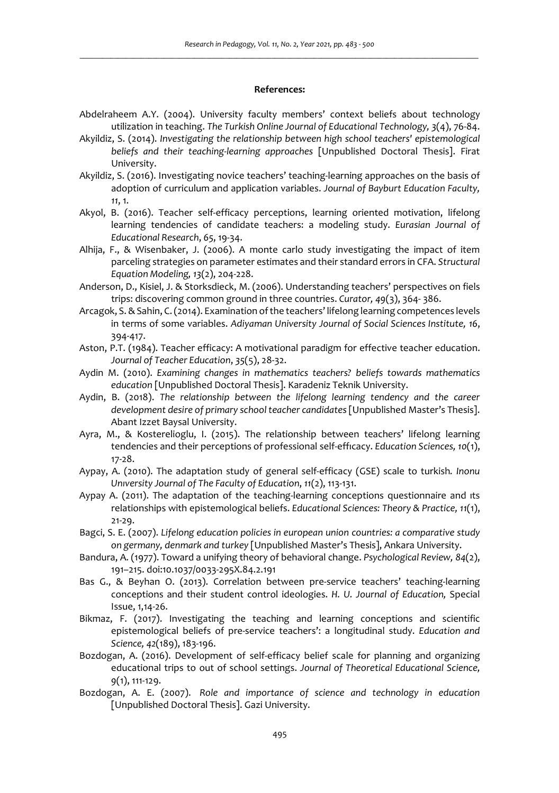#### **References:**

- Abdelraheem A.Y. (2004). University faculty members' context beliefs about technology utilization in teaching. *The Turkish Online Journal of Educational Technology, 3*(4), 76-84.
- Akyildiz, S. (2014). *Investigating the relationship between high school teachers' epistemological beliefs and their teaching-learning approaches* [Unpublished Doctoral Thesis]. Firat University.
- Akyildiz, S. (2016). Investigating novice teachers' teaching-learning approaches on the basis of adoption of curriculum and application variables. *Journal of Bayburt Education Faculty, 11*, 1.
- Akyol, B. (2016). Teacher self-efficacy perceptions, learning oriented motivation, lifelong learning tendencies of candidate teachers: a modeling study. *Eurasian Journal of Educational Research*, *65*, 19-34.
- Alhija, F., & Wisenbaker, J. (2006). A monte carlo study investigating the impact of item parceling strategies on parameter estimates and their standard errors in CFA. *Structural Equation Modeling, 13*(2), 204-228.
- Anderson, D., Kisiel, J. & Storksdieck, M. (2006). Understanding teachers' perspectives on fiels trips: discovering common ground in three countries. *Curator, 49*(3), 364- 386.
- Arcagok, S. & Sahin, C. (2014). Examination of the teachers' lifelong learning competences levels in terms of some variables. *Adiyaman University Journal of Social Sciences Institute, 16*, 394-417.
- Aston, P.T. (1984). Teacher efficacy: A motivational paradigm for effective teacher education. *Journal of Teacher Education*, *35*(5), 28-32.
- Aydin M. (2010). *Examining changes in mathematics teachers? beliefs towards mathematics education* [Unpublished Doctoral Thesis]. Karadeniz Teknik University.
- Aydin, B. (2018). *The relationship between the lifelong learning tendency and the career development desire of primary school teacher candidates* [Unpublished Master's Thesis]. Abant Izzet Baysal University.
- Ayra, M., & Kosterelioglu, I. (2015). The relationship between teachers' lifelong learning tendencies and their perceptions of professional self-effıcacy. *Education Sciences, 10*(1), 17-28.
- Aypay, A. (2010). The adaptation study of general self-efficacy (GSE) scale to turkish*. Inonu Unıversity Journal of The Faculty of Education*, *11*(2), 113-131.
- Aypay A. (2011). The adaptation of the teaching-learning conceptions questionnaire and ıts relationships with epistemological beliefs. *Educational Sciences: Theory & Practice, 11*(1), 21-29.
- Bagci, S. E. (2007). *Lifelong education policies in european union countries: a comparative study on germany, denmark and turkey* [Unpublished Master's Thesis], Ankara University.
- Bandura, A. (1977). Toward a unifying theory of behavioral change. *Psychological Review, 84*(2), 191–215. doi:10.1037/0033-295X.84.2.191
- Bas G., & Beyhan O. (2013). Correlation between pre-service teachers' teaching-learning conceptions and their student control ideologies. *H. U. Journal of Education,* Special Issue, 1,14-26.
- Bikmaz, F. (2017). Investigating the teaching and learning conceptions and scientific epistemological beliefs of pre-service teachers': a longitudinal study. *Education and Science, 42*(189), 183-196.
- Bozdogan, A. (2016). Development of self-efficacy belief scale for planning and organizing educational trips to out of school settings. *Journal of Theoretical Educational Science, 9*(1), 111-129.
- Bozdogan, A. E. (2007). *Role and importance of science and technology in education* [Unpublished Doctoral Thesis]. Gazi University.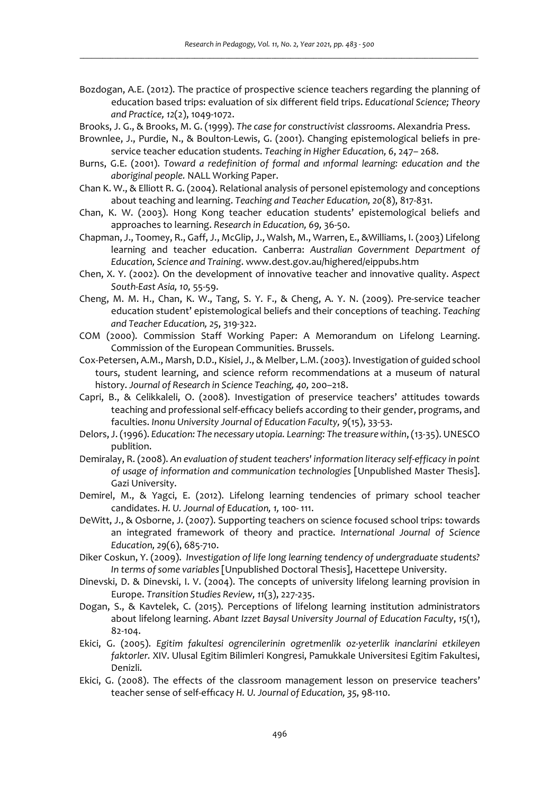- Bozdogan, A.E. (2012). The practice of prospective science teachers regarding the planning of education based trips: evaluation of six different field trips. *Educational Science; Theory and Practice, 12*(2), 1049-1072.
- Brooks, J. G., & Brooks, M. G. (1999). *The case for constructivist classrooms*. Alexandria Press.
- Brownlee, J., Purdie, N., & Boulton-Lewis, G. (2001). Changing epistemological beliefs in preservice teacher education students. *Teaching in Higher Education, 6*, 247– 268.
- Burns, G.E. (2001). *Toward a redefinition of formal and ınformal learning: education and the aboriginal people.* NALL Working Paper.
- Chan K. W., & Elliott R. G. (2004). Relational analysis of personel epistemology and conceptions about teaching and learning. *Teaching and Teacher Education, 20*(8), 817-831.
- Chan, K. W. (2003). Hong Kong teacher education students' epistemological beliefs and approaches to learning. *Research in Education, 69,* 36-50.
- Chapman, J., Toomey, R., Gaff, J., McGlip, J., Walsh, M., Warren, E., &Williams, I. (2003) Lifelong learning and teacher education. Canberra: *Australian Government Department of Education, Science and Training*. www.dest.gov.au/highered/eippubs.htm
- Chen, X. Y. (2002). On the development of innovative teacher and innovative quality. *Aspect South-East Asia, 10,* 55-59.
- Cheng, M. M. H., Chan, K. W., Tang, S. Y. F., & Cheng, A. Y. N. (2009). Pre-service teacher education student' epistemological beliefs and their conceptions of teaching. *Teaching and Teacher Education, 25*, 319-322.
- COM (2000). Commission Staff Working Paper: A Memorandum on Lifelong Learning. Commission of the European Communities. Brussels.
- Cox-Petersen, A.M., Marsh, D.D., Kisiel, J., & Melber, L.M. (2003). Investigation of guided school tours, student learning, and science reform recommendations at a museum of natural history. *Journal of Research in Science Teaching, 40,* 200–218.
- Capri, B., & Celikkaleli, O. (2008). Investigation of preservice teachers' attitudes towards teaching and professional self-effıcacy beliefs according to their gender, programs, and faculties. *Inonu University Journal of Education Faculty, 9*(15), 33-53.
- Delors, J. (1996). *Education: The necessary utopia. Learning: The treasure within*, (13-35). UNESCO publition.
- Demiralay, R. (2008). *An evaluation of student teachers' information literacy self-efficacy in point of usage of information and communication technologies* [Unpublished Master Thesis]. Gazi University.
- Demirel, M., & Yagci, E. (2012). Lifelong learning tendencies of primary school teacher candidates. *H. U. Journal of Education, 1,* 100- 111.
- DeWitt, J., & Osborne, J. (2007). Supporting teachers on science focused school trips: towards an integrated framework of theory and practice. *International Journal of Science Education, 29*(6), 685-710.
- Diker Coskun, Y. (2009). *Investigation of life long learning tendency of undergraduate students? In terms of some variables* [Unpublished Doctoral Thesis], Hacettepe University.
- Dinevski, D. & Dinevski, I. V. (2004). The concepts of university lifelong learning provision in Europe. *Transition Studies Review, 11*(3), 227-235.
- Dogan, S., & Kavtelek, C. (2015). Perceptions of lifelong learning institution administrators about lifelong learning. *Abant Izzet Baysal University Journal of Education Faculty*, *15*(1), 82-104.
- Ekici, G. (2005). *Egitim fakultesi ogrencilerinin ogretmenlik oz-yeterlik inanclarini etkileyen faktorler.* XIV. Ulusal Egitim Bilimleri Kongresi, Pamukkale Universitesi Egitim Fakultesi, Denizli.
- Ekici, G. (2008). The effects of the classroom management lesson on preservice teachers' teacher sense of self-effıcacy *H. U. Journal of Education, 35*, 98-110.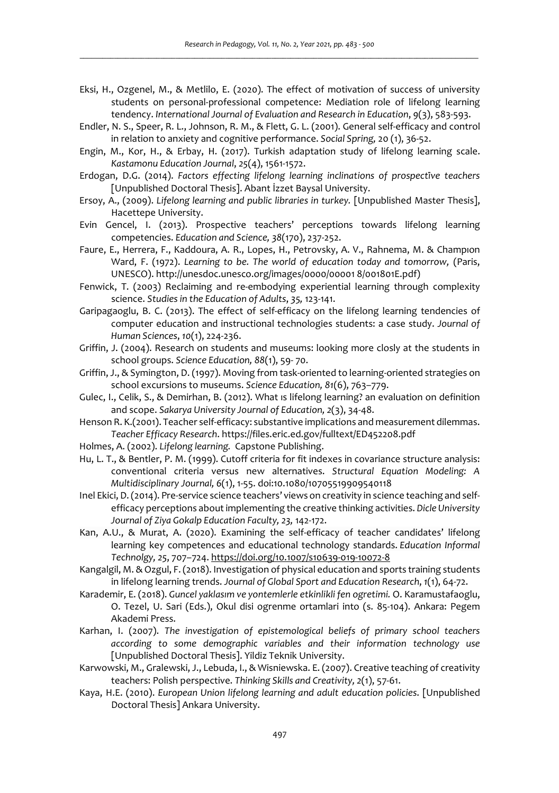- Eksi, H., Ozgenel, M., & Metlilo, E. (2020). The effect of motivation of success of university students on personal-professional competence: Mediation role of lifelong learning tendency. *International Journal of Evaluation and Research in Education*, *9*(3), 583-593.
- Endler, N. S., Speer, R. L., Johnson, R. M., & Flett, G. L. (2001). General self-efficacy and control in relation to anxiety and cognitive performance. *Social Spring,* 20 (1), 36-52.
- Engin, M., Kor, H., & Erbay, H. (2017). Turkish adaptation study of lifelong learning scale. *Kastamonu Education Journal*, *25*(4), 1561-1572.
- Erdogan, D.G. (2014). *Factors effecting lifelong learning inclinations of prospecti̇ve teachers* [Unpublished Doctoral Thesis]. Abant İzzet Baysal University.
- Ersoy, A., (2009). *Lifelong learning and public libraries in turkey.* [Unpublished Master Thesis], Hacettepe University.
- Evin Gencel, I. (2013). Prospective teachers' perceptions towards lifelong learning competencies. *Education and Science, 38*(170), 237-252.
- Faure, E., Herrera, F., Kaddoura, A. R., Lopes, H., Petrovsky, A. V., Rahnema, M. & Champıon Ward, F. (1972). *Learning to be. The world of education today and tomorrow,* (Paris, UNESCO). http://unesdoc.unesco.org/images/0000/00001 8/001801E.pdf)
- Fenwick, T. (2003) Reclaiming and re-embodying experiential learning through complexity science. *Studies in the Education of Adults*, *35,* 123-141.
- Garipagaoglu, B. C. (2013). The effect of self-efficacy on the lifelong learning tendencies of computer education and instructional technologies students: a case study. *Journal of Human Sciences*, *10*(1), 224-236.
- Griffin, J. (2004). Research on students and museums: looking more closly at the students in school groups. *Science Education, 88*(1), 59- 70.
- Griffin, J., & Symington, D. (1997). Moving from task-oriented to learning-oriented strategies on school excursions to museums. *Science Education, 81*(6), 763–779.
- Gulec, I., Celik, S., & Demirhan, B. (2012). What ıs lifelong learning? an evaluation on definition and scope. *Sakarya University Journal of Education, 2*(3), 34-48.
- Henson R. K.(2001). Teacher self-efficacy: substantive implications and measurement dilemmas. *Teacher Efficacy Research*. https://files.eric.ed.gov/fulltext/ED452208.pdf
- Holmes, A. (2002). *Lifelong learning.* Capstone Publishing.
- Hu, L. T., & Bentler, P. M. (1999). Cutoff criteria for fit indexes in covariance structure analysis: conventional criteria versus new alternatives. *Structural Equation Modeling: A Multidisciplinary Journal, 6*(1), 1-55. doi:10.1080/10705519909540118
- Inel Ekici, D. (2014). Pre-service science teachers' views on creativity in science teaching and selfefficacy perceptions about implementing the creative thinking activities. *Dicle University Journal of Ziya Gokalp Education Faculty, 23,* 142-172.
- Kan, A.U., & Murat, A. (2020). Examining the self-efficacy of teacher candidates' lifelong learning key competences and educational technology standards. *Education Informal Technolgy, 25*, 707–724. https://doi.org/10.1007/s10639-019-10072-8
- Kangalgil, M. & Ozgul, F. (2018). Investigation of physical education and sports training students in lifelong learning trends. *Journal of Global Sport and Education Research*, *1*(1), 64-72.
- Karademir, E. (2018). *Guncel yaklasım ve yontemlerle etkinlikli fen ogretimi.* O. Karamustafaoglu, O. Tezel, U. Sari (Eds.), Okul disi ogrenme ortamlari into (s. 85-104). Ankara: Pegem Akademi Press.
- Karhan, I. (2007). *The investigation of epistemological beliefs of primary school teachers according to some demographic variables and their information technology use* [Unpublished Doctoral Thesis]. Yildiz Teknik University.
- Karwowski, M., Gralewski, J., Lebuda, I., & Wisniewska. E. (2007). Creative teaching of creativity teachers: Polish perspective. *Thinking Skills and Creativity, 2*(1), 57-61.
- Kaya, H.E. (2010). *European Union lifelong learning and adult education policies*. [Unpublished Doctoral Thesis] Ankara University.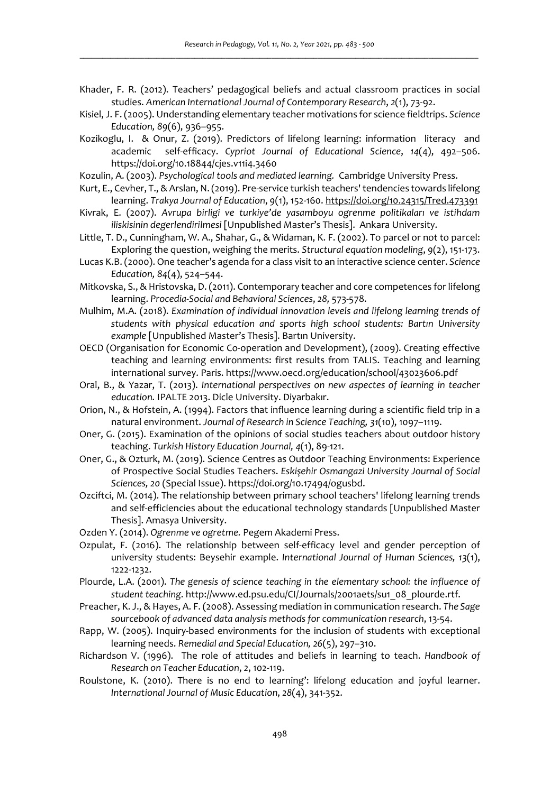- Khader, F. R. (2012). Teachers' pedagogical beliefs and actual classroom practices in social studies. *American International Journal of Contemporary Research*, *2*(1), 73-92.
- Kisiel, J. F. (2005). Understanding elementary teacher motivations for science fieldtrips. *Science Education, 89*(6), 936–955.
- Kozikoglu, I. & Onur, Z. (2019). Predictors of lifelong learning: information literacy and academic self-efficacy. *Cypriot Journal of Educational Science*, *14*(4), 492–506. https://doi.org/10.18844/cjes.v11i4.3460
- Kozulin, A. (2003). *Psychological tools and mediated learning.* Cambridge University Press.
- Kurt, E., Cevher, T., & Arslan, N. (2019). Pre-service turkish teachers' tendencies towards lifelong learning. *Trakya Journal of Education*, *9*(1), 152-160. https://doi.org/10.24315/Tred.473391
- Kivrak, E. (2007). *Avrupa birligi ve turkiye'de yasamboyu ogrenme politikaları ve istihdam iliskisinin degerlendirilmesi* [Unpublished Master's Thesis]. Ankara University.
- Little, T. D., Cunningham, W. A., Shahar, G., & Widaman, K. F. (2002). To parcel or not to parcel: Exploring the question, weighing the merits. *Structural equation modeling*, *9*(2), 151-173.
- Lucas K.B. (2000). One teacher's agenda for a class visit to an interactive science center. *Science Education, 84*(4), 524–544.
- Mitkovska, S., & Hristovska, D. (2011). Contemporary teacher and core competences for lifelong learning. *Procedia-Social and Behavioral Sciences*, *28,* 573-578.
- Mulhim, M.A. (2018). *Examination of individual innovation levels and lifelong learning trends of students with physical education and sports high school students: Bartın University example* [Unpublished Master's Thesis]. Bartın University.
- OECD (Organisation for Economic Co-operation and Development), (2009). Creating effective teaching and learning environments: first results from TALIS. Teaching and learning international survey. Paris. https://www.oecd.org/education/school/43023606.pdf
- Oral, B., & Yazar, T. (2013). *International perspectives on new aspectes of learning in teacher education.* IPALTE 2013. Dicle University. Diyarbakır.
- Orion, N., & Hofstein, A. (1994). Factors that influence learning during a scientific field trip in a natural environment. *Journal of Research in Science Teaching, 31*(10), 1097–1119.
- Oner, G. (2015). Examination of the opinions of social studies teachers about outdoor history teaching. *Turkish History Education Journal, 4*(1), 89-121.
- Oner, G., & Ozturk, M. (2019). Science Centres as Outdoor Teaching Environments: Experience of Prospective Social Studies Teachers. *Eskişehir Osmangazi University Journal of Social Sciences, 20* (Special Issue). https://doi.org/10.17494/ogusbd.
- Ozciftci, M. (2014). The relationship between primary school teachers' lifelong learning trends and self-efficiencies about the educational technology standards [Unpublished Master Thesis]. Amasya University.
- Ozden Y. (2014). *Ogrenme ve ogretme.* Pegem Akademi Press.
- Ozpulat, F. (2016). The relationship between self-efficacy level and gender perception of university students: Beysehir example. *International Journal of Human Sciences, 13*(1), 1222-1232.
- Plourde, L.A. (2001). *The genesis of science teaching in the elementary school: the influence of student teaching*. http://www.ed.psu.edu/CI/Journals/2001aets/su1\_08\_plourde.rtf.
- Preacher, K. J., & Hayes, A. F. (2008). Assessing mediation in communication research. *The Sage sourcebook of advanced data analysis methods for communication research*, 13-54.
- Rapp, W. (2005). Inquiry-based environments for the inclusion of students with exceptional learning needs. *Remedial and Special Education, 26*(5), 297–310.
- Richardson V. (1996). The role of attitudes and beliefs in learning to teach. *Handbook of Research on Teacher Education*, *2*, 102-119.
- Roulstone, K. (2010). There is no end to learning': lifelong education and joyful learner. *International Journal of Music Education*, *28*(4), 341-352.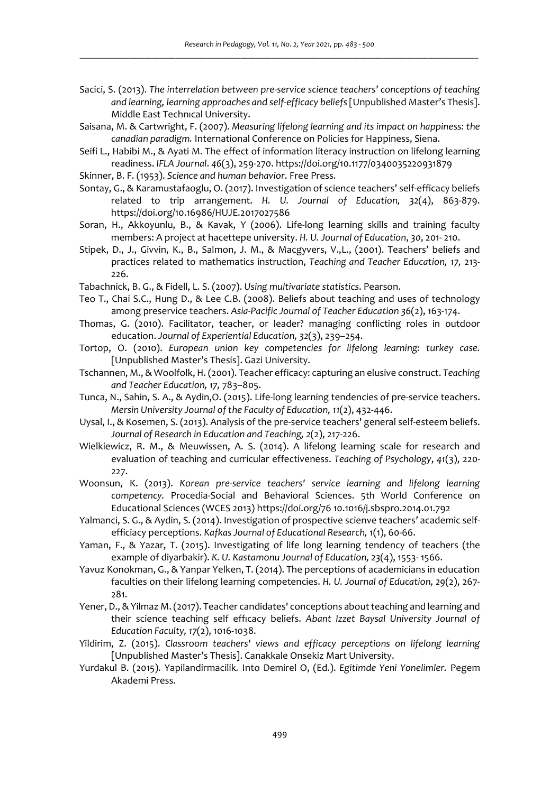- Sacici, S. (2013). *The interrelation between pre-service science teachers' conceptions of teaching and learning, learning approaches and self-efficacy beliefs* [Unpublished Master's Thesis]. Middle East Technıcal University.
- Saisana, M. & Cartwright, F. (2007). *Measuring lifelong learning and its impact on happiness: the canadian paradigm.* International Conference on Policies for Happiness, Siena.
- Seifi L., Habibi M., & Ayati M. The effect of information literacy instruction on lifelong learning readiness. *IFLA Journal*. *46*(3), 259-270. https://doi.org/10.1177/0340035220931879
- Skinner, B. F. (1953). *Science and human behavior*. Free Press.
- Sontay, G., & Karamustafaoglu, O. (2017). Investigation of science teachers' self-efficacy beliefs related to trip arrangement. *H. U. Journal of Education, 32*(4), 863-879. https://doi.org/10.16986/HUJE.2017027586
- Soran, H., Akkoyunlu, B., & Kavak, Y (2006). Life-long learning skills and training faculty members: A project at hacettepe university. *H. U. Journal of Education*, *30*, 201- 210.
- Stipek, D., J., Givvin, K., B., Salmon, J. M., & Macgyvers, V.,L., (2001). Teachers' beliefs and practices related to mathematics instruction, *Teaching and Teacher Education, 17,* 213- 226.
- Tabachnick, B. G., & Fidell, L. S. (2007). *Using multivariate statistics*. Pearson.
- Teo T., Chai S.C., Hung D., & Lee C.B. (2008). Beliefs about teaching and uses of technology among preservice teachers. *Asia-Pacific Journal of Teacher Education 36*(2), 163-174.
- Thomas, G. (2010). Facilitator, teacher, or leader? managing conflicting roles in outdoor education. *Journal of Experiential Education, 32*(3), 239–254.
- Tortop, O. (2010). *European union key competencies for lifelong learning: turkey case.* [Unpublished Master's Thesis]. Gazi University.
- Tschannen, M., & Woolfolk, H. (2001). Teacher efficacy: capturing an elusive construct. *Teaching and Teacher Education, 17,* 783–805.
- Tunca, N., Sahin, S. A., & Aydin,O. (2015). Life-long learning tendencies of pre-service teachers. *Mersin University Journal of the Faculty of Education, 11*(2), 432-446.
- Uysal, I., & Kosemen, S. (2013). Analysis of the pre-service teachers' general self-esteem beliefs. *Journal of Research in Education and Teaching, 2*(2), 217-226.
- Wielkiewicz, R. M., & Meuwissen, A. S. (2014). A lifelong learning scale for research and evaluation of teaching and curricular effectiveness. *Teaching of Psychology*, *41*(3), 220- 227.
- Woonsun, K. (2013). *Korean pre-service teachers' service learning and lifelong learning competency.* Procedia-Social and Behavioral Sciences. 5th World Conference on Educational Sciences (WCES 2013) https://doi.org/76 10.1016/j.sbspro.2014.01.792
- Yalmanci, S. G., & Aydin, S. (2014). Investigation of prospective scienve teachers' academic selfefficiacy perceptions. *Kafkas Journal of Educational Research, 1*(1), 60-66.
- Yaman, F., & Yazar, T. (2015). Investigating of life long learning tendency of teachers (the example of diyarbakir). *K. U. Kastamonu Journal of Education, 23*(4), 1553- 1566.
- Yavuz Konokman, G., & Yanpar Yelken, T. (2014). The perceptions of academicians in education faculties on their lifelong learning competencies. *H. U. Journal of Education, 29*(2), 267- 281.
- Yener, D., & Yilmaz M. (2017). Teacher candidates' conceptions about teaching and learning and their science teaching self effıcacy beliefs. *Abant Izzet Baysal University Journal of Education Faculty, 17*(2), 1016-1038.
- Yildirim, Z. (2015). *Classroom teachers' views and efficacy perceptions on lifelong learning* [Unpublished Master's Thesis]. Canakkale Onsekiz Mart University.
- Yurdakul B. (2015). Yapilandirmacilik*.* Into Demirel O, (Ed.). *Egitimde Yeni Yonelimler.* Pegem Akademi Press.